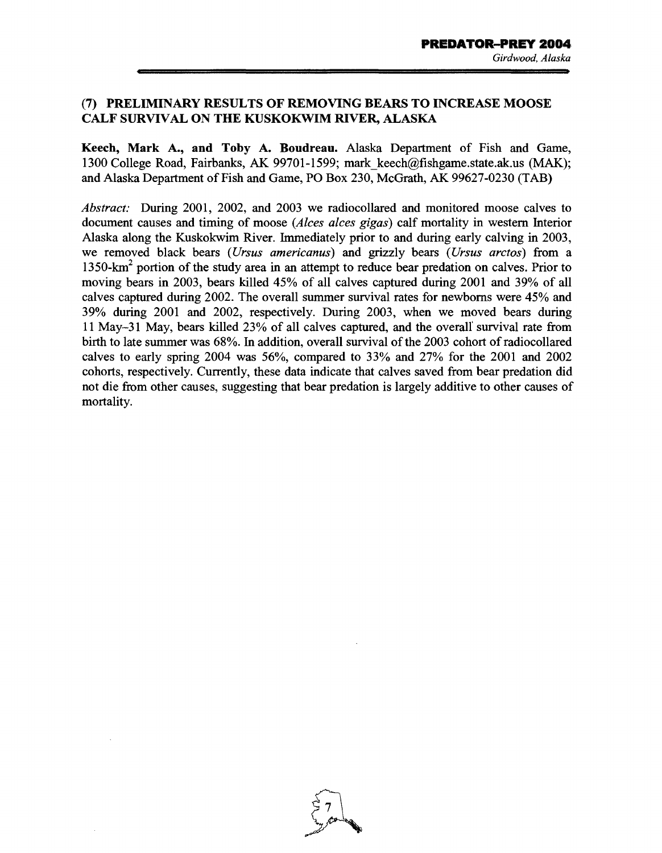## (7) PRELIMINARY RESULTS OF REMOVING BEARS TO INCREASE MOOSE CALF SURVIVAL ON THE KUSKOKWIM RIVER, ALASKA

Keech, Mark A., and Toby A. Boudreau. Alaska Department of Fish and Game, 1300 College Road, Fairbanks, AK 99701-1599; mark\_keech@fishgame.state.ak.us (MAK); and Alaska Department of Fish and Game, PO Box 230, McGrath, AK 99627-0230 (TAB)

*Abstract:* During 2001, 2002, and 2003 we radiocollared and monitored moose calves to document causes and timing of moose *(Alces alces gigas)* calf mortality in western Interior Alaska along the Kuskokwim River. Immediately prior to and during early calving in 2003, we removed black bears *(Ursus americanus)* and grizzly bears *(Ursus arctos)* from a  $1350 \text{-} \text{km}^2$  portion of the study area in an attempt to reduce bear predation on calves. Prior to moving bears in 2003, bears killed 45% of all calves captured during 2001 and 39% of all calves captured during 2002. The overall summer survival rates for newborns were 45% and 39% during 2001 and 2002, respectively. During 2003, when we moved bears during 11 May-31 May, bears killed 23% of all calves captured, and the overalf survival rate from birth to late summer was 68%. In addition, overall survival of the 2003 cohort of radiocollared calves to early spring 2004 was 56%, compared to 33% and 27% for the 2001 and 2002 cohorts, respectively. Currently, these data indicate that calves saved from bear predation did not die from other causes, suggesting that bear predation is largely additive to other causes of mortality.